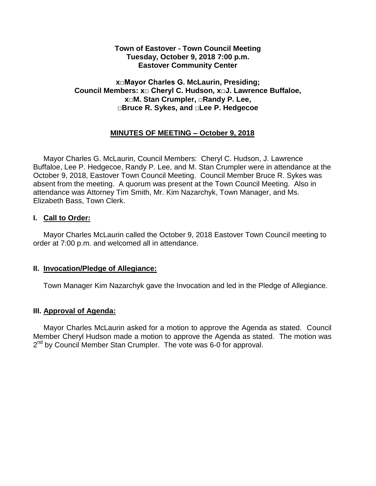### **Town of Eastover - Town Council Meeting Tuesday, October 9, 2018 7:00 p.m. Eastover Community Center**

# **x□Mayor Charles G. McLaurin, Presiding; Council Members: x□ Cheryl C. Hudson, x□J. Lawrence Buffaloe, x□M. Stan Crumpler, □Randy P. Lee, □Bruce R. Sykes, and □Lee P. Hedgecoe**

# **MINUTES OF MEETING – October 9, 2018**

 Mayor Charles G. McLaurin, Council Members: Cheryl C. Hudson, J. Lawrence Buffaloe, Lee P. Hedgecoe, Randy P. Lee, and M. Stan Crumpler were in attendance at the October 9, 2018, Eastover Town Council Meeting. Council Member Bruce R. Sykes was absent from the meeting. A quorum was present at the Town Council Meeting. Also in attendance was Attorney Tim Smith, Mr. Kim Nazarchyk, Town Manager, and Ms. Elizabeth Bass, Town Clerk.

#### **I. Call to Order:**

 Mayor Charles McLaurin called the October 9, 2018 Eastover Town Council meeting to order at 7:00 p.m. and welcomed all in attendance.

#### **II. Invocation/Pledge of Allegiance:**

Town Manager Kim Nazarchyk gave the Invocation and led in the Pledge of Allegiance.

# **III. Approval of Agenda:**

 Mayor Charles McLaurin asked for a motion to approve the Agenda as stated. Council Member Cheryl Hudson made a motion to approve the Agenda as stated. The motion was 2<sup>nd</sup> by Council Member Stan Crumpler. The vote was 6-0 for approval.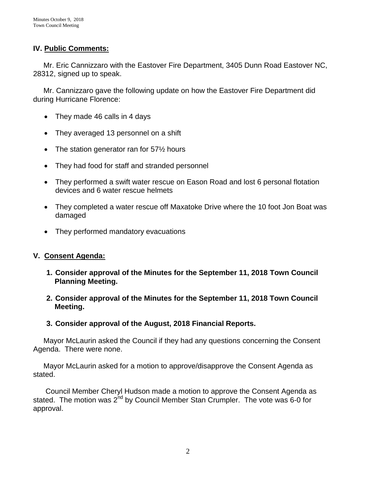# **IV. Public Comments:**

 Mr. Eric Cannizzaro with the Eastover Fire Department, 3405 Dunn Road Eastover NC, 28312, signed up to speak.

 Mr. Cannizzaro gave the following update on how the Eastover Fire Department did during Hurricane Florence:

- They made 46 calls in 4 days
- They averaged 13 personnel on a shift
- The station generator ran for  $57\frac{1}{2}$  hours
- They had food for staff and stranded personnel
- They performed a swift water rescue on Eason Road and lost 6 personal flotation devices and 6 water rescue helmets
- They completed a water rescue off Maxatoke Drive where the 10 foot Jon Boat was damaged
- They performed mandatory evacuations

# **V. Consent Agenda:**

- **1. Consider approval of the Minutes for the September 11, 2018 Town Council Planning Meeting.**
- **2. Consider approval of the Minutes for the September 11, 2018 Town Council Meeting.**
- **3. Consider approval of the August, 2018 Financial Reports.**

 Mayor McLaurin asked the Council if they had any questions concerning the Consent Agenda. There were none.

 Mayor McLaurin asked for a motion to approve/disapprove the Consent Agenda as stated.

 Council Member Cheryl Hudson made a motion to approve the Consent Agenda as stated. The motion was  $2^{nd}$  by Council Member Stan Crumpler. The vote was 6-0 for approval.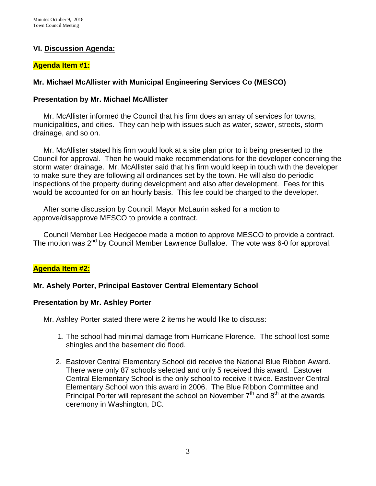# **VI. Discussion Agenda:**

#### **Agenda Item #1:**

# **Mr. Michael McAllister with Municipal Engineering Services Co (MESCO)**

### **Presentation by Mr. Michael McAllister**

 Mr. McAllister informed the Council that his firm does an array of services for towns, municipalities, and cities. They can help with issues such as water, sewer, streets, storm drainage, and so on.

 Mr. McAllister stated his firm would look at a site plan prior to it being presented to the Council for approval. Then he would make recommendations for the developer concerning the storm water drainage. Mr. McAllister said that his firm would keep in touch with the developer to make sure they are following all ordinances set by the town. He will also do periodic inspections of the property during development and also after development. Fees for this would be accounted for on an hourly basis. This fee could be charged to the developer.

 After some discussion by Council, Mayor McLaurin asked for a motion to approve/disapprove MESCO to provide a contract.

 Council Member Lee Hedgecoe made a motion to approve MESCO to provide a contract. The motion was 2<sup>nd</sup> by Council Member Lawrence Buffaloe. The vote was 6-0 for approval.

# **Agenda Item #2:**

# **Mr. Ashely Porter, Principal Eastover Central Elementary School**

#### **Presentation by Mr. Ashley Porter**

Mr. Ashley Porter stated there were 2 items he would like to discuss:

- 1. The school had minimal damage from Hurricane Florence. The school lost some shingles and the basement did flood.
- 2. Eastover Central Elementary School did receive the National Blue Ribbon Award. There were only 87 schools selected and only 5 received this award. Eastover Central Elementary School is the only school to receive it twice. Eastover Central Elementary School won this award in 2006. The Blue Ribbon Committee and Principal Porter will represent the school on November  $7<sup>th</sup>$  and  $8<sup>th</sup>$  at the awards ceremony in Washington, DC.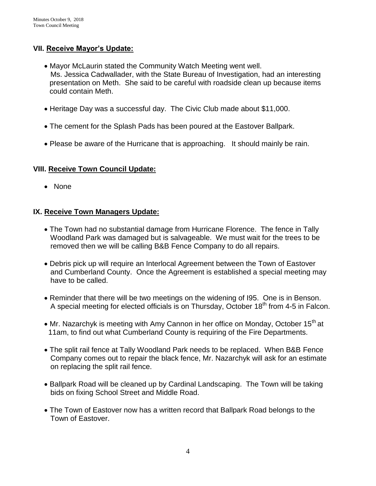# **VII. Receive Mayor's Update:**

- Mayor McLaurin stated the Community Watch Meeting went well. Ms. Jessica Cadwallader, with the State Bureau of Investigation, had an interesting presentation on Meth. She said to be careful with roadside clean up because items could contain Meth.
- Heritage Day was a successful day. The Civic Club made about \$11,000.
- The cement for the Splash Pads has been poured at the Eastover Ballpark.
- Please be aware of the Hurricane that is approaching. It should mainly be rain.

# **VIII. Receive Town Council Update:**

• None

# **IX. Receive Town Managers Update:**

- The Town had no substantial damage from Hurricane Florence. The fence in Tally Woodland Park was damaged but is salvageable. We must wait for the trees to be removed then we will be calling B&B Fence Company to do all repairs.
- Debris pick up will require an Interlocal Agreement between the Town of Eastover and Cumberland County. Once the Agreement is established a special meeting may have to be called.
- Reminder that there will be two meetings on the widening of I95. One is in Benson. A special meeting for elected officials is on Thursday, October  $18<sup>th</sup>$  from 4-5 in Falcon.
- Mr. Nazarchyk is meeting with Amy Cannon in her office on Monday, October 15<sup>th</sup> at 11am, to find out what Cumberland County is requiring of the Fire Departments.
- The split rail fence at Tally Woodland Park needs to be replaced. When B&B Fence Company comes out to repair the black fence, Mr. Nazarchyk will ask for an estimate on replacing the split rail fence.
- Ballpark Road will be cleaned up by Cardinal Landscaping. The Town will be taking bids on fixing School Street and Middle Road.
- The Town of Eastover now has a written record that Ballpark Road belongs to the Town of Eastover.